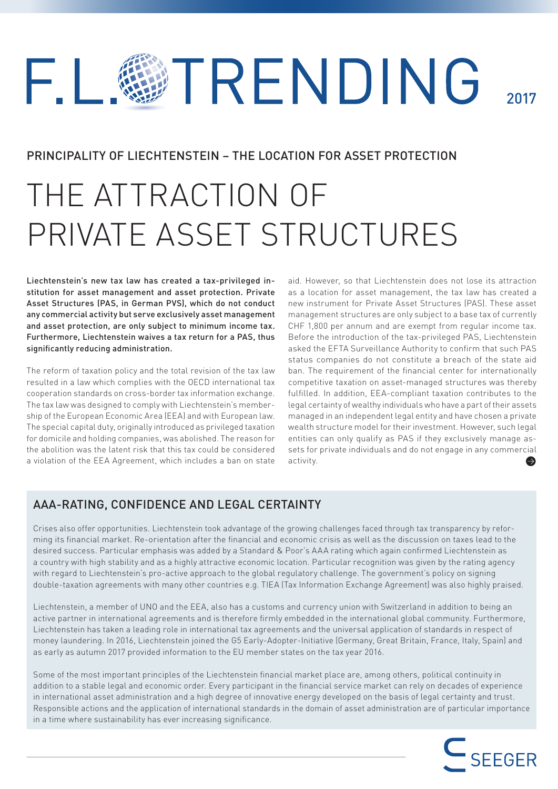# TRENDING F.L 2017

# PRINCIPALITY OF LIECHTENSTEIN – THE LOCATION FOR ASSET PROTECTION

# THE ATTRACTION OF PRIVATE ASSET STRUCTURES

Liechtenstein's new tax law has created a tax-privileged institution for asset management and asset protection. Private Asset Structures (PAS, in German PVS), which do not conduct any commercial activity but serve exclusively asset management and asset protection, are only subject to minimum income tax. Furthermore, Liechtenstein waives a tax return for a PAS, thus significantly reducing administration.

The reform of taxation policy and the total revision of the tax law resulted in a law which complies with the OECD international tax cooperation standards on cross-border tax information exchange. The tax law was designed to comply with Liechtenstein's membership of the European Economic Area (EEA) and with European law. The special capital duty, originally introduced as privileged taxation for domicile and holding companies, was abolished. The reason for the abolition was the latent risk that this tax could be considered a violation of the EEA Agreement, which includes a ban on state

aid. However, so that Liechtenstein does not lose its attraction as a location for asset management, the tax law has created a new instrument for Private Asset Structures (PAS). These asset management structures are only subject to a base tax of currently CHF 1,800 per annum and are exempt from regular income tax. Before the introduction of the tax-privileged PAS, Liechtenstein asked the EFTA Surveillance Authority to confirm that such PAS status companies do not constitute a breach of the state aid ban. The requirement of the financial center for internationally competitive taxation on asset-managed structures was thereby fulfilled. In addition, EEA-compliant taxation contributes to the legal certainty of wealthy individuals who have a part of their assets managed in an independent legal entity and have chosen a private wealth structure model for their investment. However, such legal entities can only qualify as PAS if they exclusively manage assets for private individuals and do not engage in any commercial activity.  $\bullet$ 

# AAA-RATING, CONFIDENCE AND LEGAL CERTAINTY

Crises also offer opportunities. Liechtenstein took advantage of the growing challenges faced through tax transparency by reforming its financial market. Re-orientation after the financial and economic crisis as well as the discussion on taxes lead to the desired success. Particular emphasis was added by a Standard & Poor's AAA rating which again confirmed Liechtenstein as a country with high stability and as a highly attractive economic location. Particular recognition was given by the rating agency with regard to Liechtenstein's pro-active approach to the global regulatory challenge. The government's policy on signing double-taxation agreements with many other countries e.g. TIEA (Tax Information Exchange Agreement) was also highly praised.

Liechtenstein, a member of UNO and the EEA, also has a customs and currency union with Switzerland in addition to being an active partner in international agreements and is therefore firmly embedded in the international global community. Furthermore, Liechtenstein has taken a leading role in international tax agreements and the universal application of standards in respect of money laundering. In 2016, Liechtenstein joined the G5 Early-Adopter-Initiative (Germany, Great Britain, France, Italy, Spain) and as early as autumn 2017 provided information to the EU member states on the tax year 2016.

Some of the most important principles of the Liechtenstein financial market place are, among others, political continuity in addition to a stable legal and economic order. Every participant in the financial service market can rely on decades of experience in international asset administration and a high degree of innovative energy developed on the basis of legal certainty and trust. Responsible actions and the application of international standards in the domain of asset administration are of particular importance in a time where sustainability has ever increasing significance.

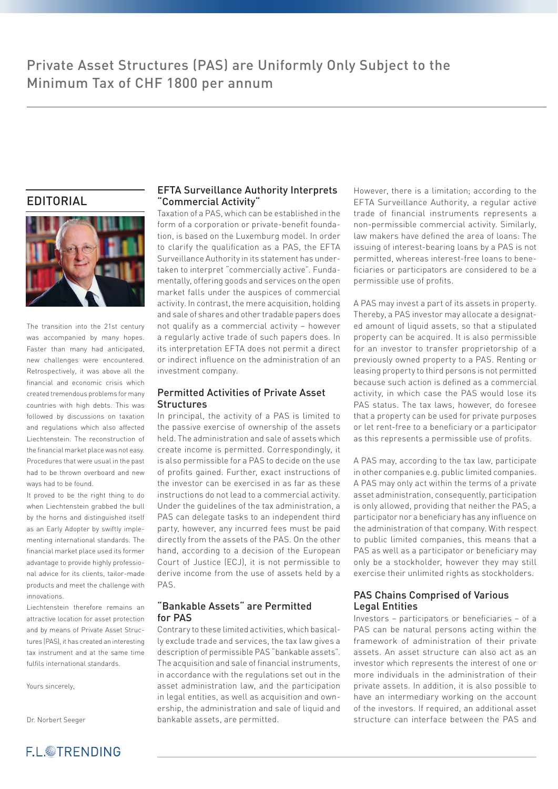## EDITORIAL



The transition into the 21st century was accompanied by many hopes. Faster than many had anticipated, new challenges were encountered. Retrospectively, it was above all the financial and economic crisis which created tremendous problems for many countries with high debts. This was followed by discussions on taxation and regulations which also affected Liechtenstein. The reconstruction of the financial market place was not easy. Procedures that were usual in the past had to be thrown overboard and new ways had to be found.

It proved to be the right thing to do when Liechtenstein grabbed the bull by the horns and distinguished itself as an Early Adopter by swiftly implementing international standards. The financial market place used its former advantage to provide highly professional advice for its clients, tailor-made products and meet the challenge with innovations.

Liechtenstein therefore remains an attractive location for asset protection and by means of Private Asset Structures (PAS), it has created an interesting tax instrument and at the same time fulfils international standards.

Yours sincerely,

Dr. Norbert Seeger

#### EFTA Surveillance Authority Interprets "Commercial Activity"

Taxation of a PAS, which can be established in the form of a corporation or private-benefit foundation, is based on the Luxemburg model. In order to clarify the qualification as a PAS, the EFTA Surveillance Authority in its statement has undertaken to interpret "commercially active". Fundamentally, offering goods and services on the open market falls under the auspices of commercial activity. In contrast, the mere acquisition, holding and sale of shares and other tradable papers does not qualify as a commercial activity – however a regularly active trade of such papers does. In its interpretation EFTA does not permit a direct or indirect influence on the administration of an investment company.

#### Permitted Activities of Private Asset **Structures**

In principal, the activity of a PAS is limited to the passive exercise of ownership of the assets held. The administration and sale of assets which create income is permitted. Correspondingly, it is also permissible for a PAS to decide on the use of profits gained. Further, exact instructions of the investor can be exercised in as far as these instructions do not lead to a commercial activity. Under the guidelines of the tax administration, a PAS can delegate tasks to an independent third party, however, any incurred fees must be paid directly from the assets of the PAS. On the other hand, according to a decision of the European Court of Justice (ECJ), it is not permissible to derive income from the use of assets held by a PAS.

#### "Bankable Assets" are Permitted for PAS

Contrary to these limited activities, which basically exclude trade and services, the tax law gives a description of permissible PAS "bankable assets". The acquisition and sale of financial instruments, in accordance with the regulations set out in the asset administration law, and the participation in legal entities, as well as acquisition and ownership, the administration and sale of liquid and bankable assets, are permitted.

However, there is a limitation; according to the EFTA Surveillance Authority, a regular active trade of financial instruments represents a non-permissible commercial activity. Similarly, law makers have defined the area of loans: The issuing of interest-bearing loans by a PAS is not permitted, whereas interest-free loans to beneficiaries or participators are considered to be a permissible use of profits.

A PAS may invest a part of its assets in property. Thereby, a PAS investor may allocate a designated amount of liquid assets, so that a stipulated property can be acquired. It is also permissible for an investor to transfer proprietorship of a previously owned property to a PAS. Renting or leasing property to third persons is not permitted because such action is defined as a commercial activity, in which case the PAS would lose its PAS status. The tax laws, however, do foresee that a property can be used for private purposes or let rent-free to a beneficiary or a participator as this represents a permissible use of profits.

A PAS may, according to the tax law, participate in other companies e.g. public limited companies. A PAS may only act within the terms of a private asset administration, consequently, participation is only allowed, providing that neither the PAS, a participator nor a beneficiary has any influence on the administration of that company. With respect to public limited companies, this means that a PAS as well as a participator or beneficiary may only be a stockholder, however they may still exercise their unlimited rights as stockholders.

#### PAS Chains Comprised of Various Legal Entities

Investors – participators or beneficiaries – of a PAS can be natural persons acting within the framework of administration of their private assets. An asset structure can also act as an investor which represents the interest of one or more individuals in the administration of their private assets. In addition, it is also possible to have an intermediary working on the account of the investors. If required, an additional asset structure can interface between the PAS and

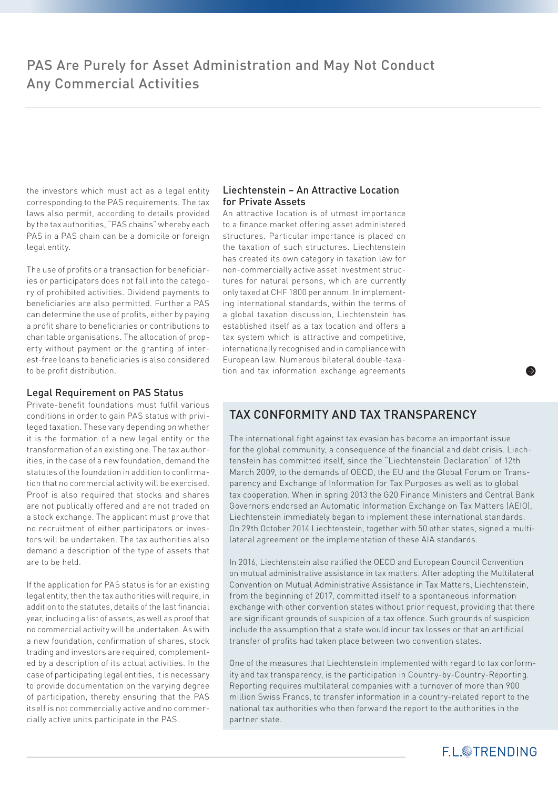the investors which must act as a legal entity corresponding to the PAS requirements. The tax laws also permit, according to details provided by the tax authorities, "PAS chains" whereby each PAS in a PAS chain can be a domicile or foreign legal entity.

The use of profits or a transaction for beneficiaries or participators does not fall into the category of prohibited activities. Dividend payments to beneficiaries are also permitted. Further a PAS can determine the use of profits, either by paying a profit share to beneficiaries or contributions to charitable organisations. The allocation of property without payment or the granting of interest-free loans to beneficiaries is also considered to be profit distribution.

#### Legal Requirement on PAS Status

Private-benefit foundations must fulfil various conditions in order to gain PAS status with privileged taxation. These vary depending on whether it is the formation of a new legal entity or the transformation of an existing one. The tax authorities, in the case of a new foundation, demand the statutes of the foundation in addition to confirmation that no commercial activity will be exercised. Proof is also required that stocks and shares are not publically offered and are not traded on a stock exchange. The applicant must prove that no recruitment of either participators or investors will be undertaken. The tax authorities also demand a description of the type of assets that are to be held.

If the application for PAS status is for an existing legal entity, then the tax authorities will require, in addition to the statutes, details of the last financial year, including a list of assets, as well as proof that no commercial activity will be undertaken. As with a new foundation, confirmation of shares, stock trading and investors are required, complemented by a description of its actual activities. In the case of participating legal entities, it is necessary to provide documentation on the varying degree of participation, thereby ensuring that the PAS itself is not commercially active and no commercially active units participate in the PAS.

#### Liechtenstein – An Attractive Location for Private Assets

An attractive location is of utmost importance to a finance market offering asset administered structures. Particular importance is placed on the taxation of such structures. Liechtenstein has created its own category in taxation law for non-commercially active asset investment structures for natural persons, which are currently only taxed at CHF 1800 per annum. In implementing international standards, within the terms of a global taxation discussion, Liechtenstein has established itself as a tax location and offers a tax system which is attractive and competitive, internationally recognised and in compliance with European law. Numerous bilateral double-taxation and tax information exchange agreements

# TAX CONFORMITY AND TAX TRANSPARENCY

The international fight against tax evasion has become an important issue for the global community, a consequence of the financial and debt crisis. Liechtenstein has committed itself, since the "Liechtenstein Declaration" of 12th March 2009, to the demands of OECD, the EU and the Global Forum on Transparency and Exchange of Information for Tax Purposes as well as to global tax cooperation. When in spring 2013 the G20 Finance Ministers and Central Bank Governors endorsed an Automatic Information Exchange on Tax Matters (AEIO), Liechtenstein immediately began to implement these international standards. On 29th October 2014 Liechtenstein, together with 50 other states, signed a multilateral agreement on the implementation of these AIA standards.

In 2016, Liechtenstein also ratified the OECD and European Council Convention on mutual administrative assistance in tax matters. After adopting the Multilateral Convention on Mutual Administrative Assistance in Tax Matters, Liechtenstein, from the beginning of 2017, committed itself to a spontaneous information exchange with other convention states without prior request, providing that there are significant grounds of suspicion of a tax offence. Such grounds of suspicion include the assumption that a state would incur tax losses or that an artificial transfer of profits had taken place between two convention states.

One of the measures that Liechtenstein implemented with regard to tax conformity and tax transparency, is the participation in Country-by-Country-Reporting. Reporting requires multilateral companies with a turnover of more than 900 million Swiss Francs, to transfer information in a country-related report to the national tax authorities who then forward the report to the authorities in the partner state.

**FL** TRENDING